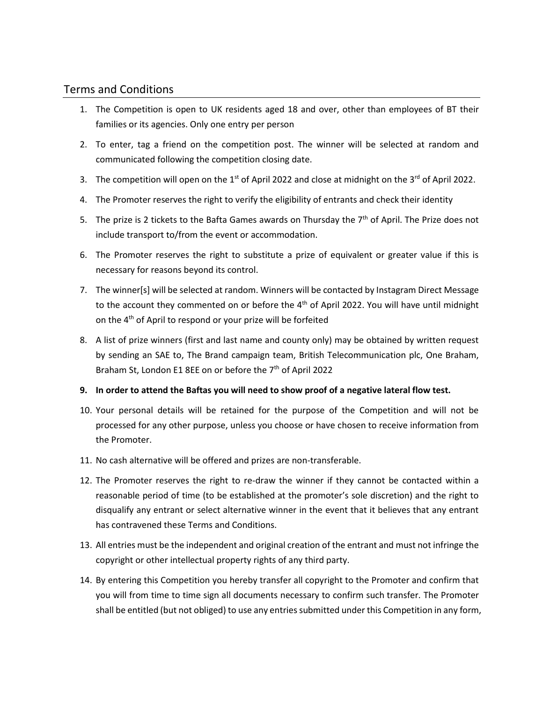## Terms and Conditions

- 1. The Competition is open to UK residents aged 18 and over, other than employees of BT their families or its agencies. Only one entry per person
- 2. To enter, tag a friend on the competition post. The winner will be selected at random and communicated following the competition closing date.
- 3. The competition will open on the 1<sup>st</sup> of April 2022 and close at midnight on the 3<sup>rd</sup> of April 2022.
- 4. The Promoter reserves the right to verify the eligibility of entrants and check their identity
- 5. The prize is 2 tickets to the Bafta Games awards on Thursday the 7<sup>th</sup> of April. The Prize does not include transport to/from the event or accommodation.
- 6. The Promoter reserves the right to substitute a prize of equivalent or greater value if this is necessary for reasons beyond its control.
- 7. The winner[s] will be selected at random. Winners will be contacted by Instagram Direct Message to the account they commented on or before the  $4<sup>th</sup>$  of April 2022. You will have until midnight on the 4<sup>th</sup> of April to respond or your prize will be forfeited
- 8. A list of prize winners (first and last name and county only) may be obtained by written request by sending an SAE to, The Brand campaign team, British Telecommunication plc, One Braham, Braham St, London E1 8EE on or before the 7<sup>th</sup> of April 2022
- **9. In order to attend the Baftas you will need to show proof of a negative lateral flow test.**
- 10. Your personal details will be retained for the purpose of the Competition and will not be processed for any other purpose, unless you choose or have chosen to receive information from the Promoter.
- 11. No cash alternative will be offered and prizes are non-transferable.
- 12. The Promoter reserves the right to re-draw the winner if they cannot be contacted within a reasonable period of time (to be established at the promoter's sole discretion) and the right to disqualify any entrant or select alternative winner in the event that it believes that any entrant has contravened these Terms and Conditions.
- 13. All entries must be the independent and original creation of the entrant and must not infringe the copyright or other intellectual property rights of any third party.
- 14. By entering this Competition you hereby transfer all copyright to the Promoter and confirm that you will from time to time sign all documents necessary to confirm such transfer. The Promoter shall be entitled (but not obliged) to use any entries submitted under this Competition in any form,